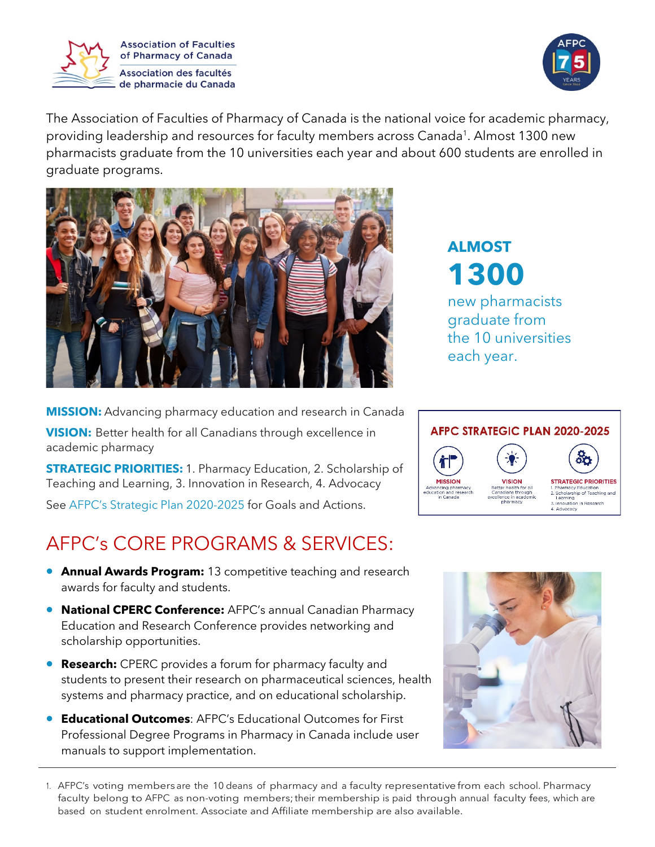



The Association of Faculties of Pharmacy of Canada is the national voice for academic pharmacy, providing leadership and resources for faculty members across Canada<sup>1</sup>. Almost 1300 new pharmacists graduate from the 10 universities each year and about 600 students are enrolled in graduate programs.



**ALMOST 1300** new pharmacists graduate from the 10 universities each year.

**MISSION:** Advancing pharmacy education and research in Canada **VISION:** Better health for all Canadians through excellence in academic pharmacy

**STRATEGIC PRIORITIES:** 1. Pharmacy Education, 2. Scholarship of Teaching and Learning, 3. Innovation in Research, 4. Advocacy

See [AFPC's Strategic Plan 2020-2025](http://afpc.info/mission-statement) for Goals and Actions.

## AFPC's CORE PROGRAMS & SERVICES:

- **[Annual Awards Program:](http://afpc.info/content/afpc-call-2021-award-nominations)** 13 competitive teaching and research awards for faculty and students.
- **[National CPERC Conference:](http://afpc.info/content/conference-overview-1)** AFPC's annual Canadian Pharmacy Education and Research Conference provides networking and scholarship opportunities.
- **Research:** CPERC provides a forum for pharmacy faculty and students to present their research on pharmaceutical sciences, health systems and pharmacy practice, and on educational scholarship.
- **[Educational Outcomes](http://afpc.info/node/39)**: AFPC's Educational Outcomes for First Professional Degree Programs in Pharmacy in Canada include user manuals to support implementation.





1. AFPC's voting members are the 10 deans of pharmacy and a faculty representative from each school. Pharmacy faculty belong to AFPC as non-voting members; their membership is paid through annual faculty fees, which are based on student enrolment. Associate and Affiliate membership are also available.